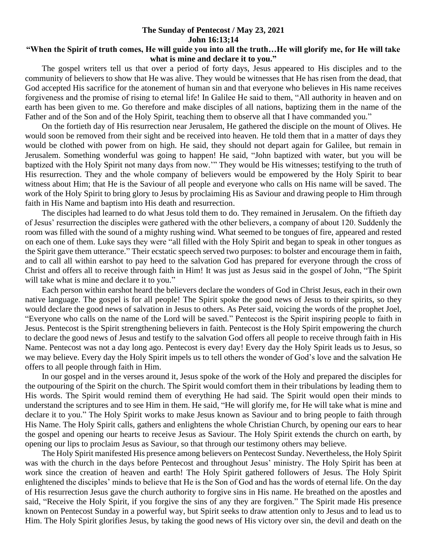## **The Sunday of Pentecost / May 23, 2021 John 16:13;14**

## **"When the Spirit of truth comes, He will guide you into all the truth…He will glorify me, for He will take what is mine and declare it to you."**

 The gospel writers tell us that over a period of forty days, Jesus appeared to His disciples and to the community of believers to show that He was alive. They would be witnesses that He has risen from the dead, that God accepted His sacrifice for the atonement of human sin and that everyone who believes in His name receives forgiveness and the promise of rising to eternal life! In Galilee He said to them, "All authority in heaven and on earth has been given to me. Go therefore and make disciples of all nations, baptizing them in the name of the Father and of the Son and of the Holy Spirit, teaching them to observe all that I have commanded you."

 On the fortieth day of His resurrection near Jerusalem, He gathered the disciple on the mount of Olives. He would soon be removed from their sight and be received into heaven. He told them that in a matter of days they would be clothed with power from on high. He said, they should not depart again for Galilee, but remain in Jerusalem. Something wonderful was going to happen! He said, "John baptized with water, but you will be baptized with the Holy Spirit not many days from now.'" They would be His witnesses; testifying to the truth of His resurrection. They and the whole company of believers would be empowered by the Holy Spirit to bear witness about Him; that He is the Saviour of all people and everyone who calls on His name will be saved. The work of the Holy Spirit to bring glory to Jesus by proclaiming His as Saviour and drawing people to Him through faith in His Name and baptism into His death and resurrection.

 The disciples had learned to do what Jesus told them to do. They remained in Jerusalem. On the fiftieth day of Jesus' resurrection the disciples were gathered with the other believers, a company of about 120. Suddenly the room was filled with the sound of a mighty rushing wind. What seemed to be tongues of fire, appeared and rested on each one of them. Luke says they were "all filled with the Holy Spirit and began to speak in other tongues as the Spirit gave them utterance." Their ecstatic speech served two purposes: to bolster and encourage them in faith, and to call all within earshot to pay heed to the salvation God has prepared for everyone through the cross of Christ and offers all to receive through faith in Him! It was just as Jesus said in the gospel of John, "The Spirit will take what is mine and declare it to you."

 Each person within earshot heard the believers declare the wonders of God in Christ Jesus, each in their own native language. The gospel is for all people! The Spirit spoke the good news of Jesus to their spirits, so they would declare the good news of salvation in Jesus to others. As Peter said, voicing the words of the prophet Joel, "Everyone who calls on the name of the Lord will be saved." Pentecost is the Spirit inspiring people to faith in Jesus. Pentecost is the Spirit strengthening believers in faith. Pentecost is the Holy Spirit empowering the church to declare the good news of Jesus and testify to the salvation God offers all people to receive through faith in His Name. Pentecost was not a day long ago. Pentecost is every day! Every day the Holy Spirit leads us to Jesus, so we may believe. Every day the Holy Spirit impels us to tell others the wonder of God's love and the salvation He offers to all people through faith in Him.

 In our gospel and in the verses around it, Jesus spoke of the work of the Holy and prepared the disciples for the outpouring of the Spirit on the church. The Spirit would comfort them in their tribulations by leading them to His words. The Spirit would remind them of everything He had said. The Spirit would open their minds to understand the scriptures and to see Him in them. He said, "He will glorify me, for He will take what is mine and declare it to you." The Holy Spirit works to make Jesus known as Saviour and to bring people to faith through His Name. The Holy Spirit calls, gathers and enlightens the whole Christian Church, by opening our ears to hear the gospel and opening our hearts to receive Jesus as Saviour. The Holy Spirit extends the church on earth, by opening our lips to proclaim Jesus as Saviour, so that through our testimony others may believe.

 The Holy Spirit manifested His presence among believers on Pentecost Sunday. Nevertheless, the Holy Spirit was with the church in the days before Pentecost and throughout Jesus' ministry. The Holy Spirit has been at work since the creation of heaven and earth! The Holy Spirit gathered followers of Jesus. The Holy Spirit enlightened the disciples' minds to believe that He is the Son of God and has the words of eternal life. On the day of His resurrection Jesus gave the church authority to forgive sins in His name. He breathed on the apostles and said, "Receive the Holy Spirit, if you forgive the sins of any they are forgiven." The Spirit made His presence known on Pentecost Sunday in a powerful way, but Spirit seeks to draw attention only to Jesus and to lead us to Him. The Holy Spirit glorifies Jesus, by taking the good news of His victory over sin, the devil and death on the